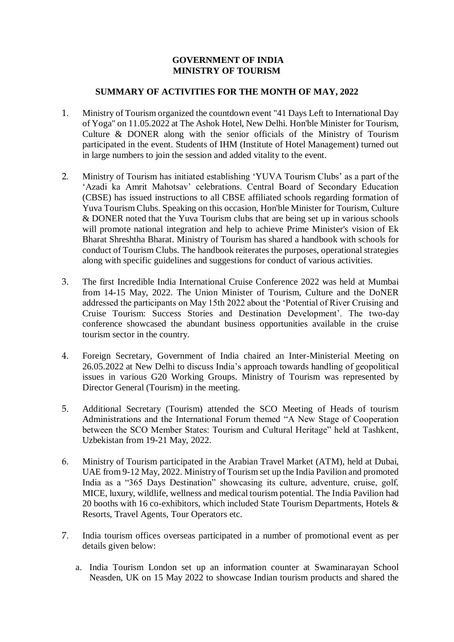## **GOVERNMENT OF INDIA MINISTRY OF TOURISM**

## **SUMMARY OF ACTIVITIES FOR THE MONTH OF MAY, 2022**

- 1. Ministry of Tourism organized the countdown event "41 Days Left to International Day of Yoga" on 11.05.2022 at The Ashok Hotel, New Delhi. Hon'ble Minister for Tourism, Culture & DONER along with the senior officials of the Ministry of Tourism participated in the event. Students of IHM (Institute of Hotel Management) turned out in large numbers to join the session and added vitality to the event.
- 2. Ministry of Tourism has initiated establishing 'YUVA Tourism Clubs' as a part of the 'Azadi ka Amrit Mahotsav' celebrations. Central Board of Secondary Education (CBSE) has issued instructions to all CBSE affiliated schools regarding formation of Yuva Tourism Clubs. Speaking on this occasion, Hon'ble Minister for Tourism, Culture & DONER noted that the Yuva Tourism clubs that are being set up in various schools will promote national integration and help to achieve Prime Minister's vision of Ek Bharat Shreshtha Bharat. Ministry of Tourism has shared a handbook with schools for conduct of Tourism Clubs. The handbook reiterates the purposes, operational strategies along with specific guidelines and suggestions for conduct of various activities.
- 3. The first Incredible India International Cruise Conference 2022 was held at Mumbai from 14-15 May, 2022. The Union Minister of Tourism, Culture and the DoNER addressed the participants on May 15th 2022 about the 'Potential of River Cruising and Cruise Tourism: Success Stories and Destination Development'. The two-day conference showcased the abundant business opportunities available in the cruise tourism sector in the country.
- 4. Foreign Secretary, Government of India chaired an Inter-Ministerial Meeting on 26.05.2022 at New Delhi to discuss India's approach towards handling of geopolitical issues in various G20 Working Groups. Ministry of Tourism was represented by Director General (Tourism) in the meeting.
- 5. Additional Secretary (Tourism) attended the SCO Meeting of Heads of tourism Administrations and the International Forum themed "A New Stage of Cooperation between the SCO Member States: Tourism and Cultural Heritage" held at Tashkent, Uzbekistan from 19-21 May, 2022.
- 6. Ministry of Tourism participated in the Arabian Travel Market (ATM), held at Dubai, UAE from 9-12 May, 2022. Ministry of Tourism set up the India Pavilion and promoted India as a "365 Days Destination" showcasing its culture, adventure, cruise, golf, MICE, luxury, wildlife, wellness and medical tourism potential. The India Pavilion had 20 booths with 16 co-exhibitors, which included State Tourism Departments, Hotels & Resorts, Travel Agents, Tour Operators etc.
- 7. India tourism offices overseas participated in a number of promotional event as per details given below:
	- a. India Tourism London set up an information counter at Swaminarayan School Neasden, UK on 15 May 2022 to showcase Indian tourism products and shared the